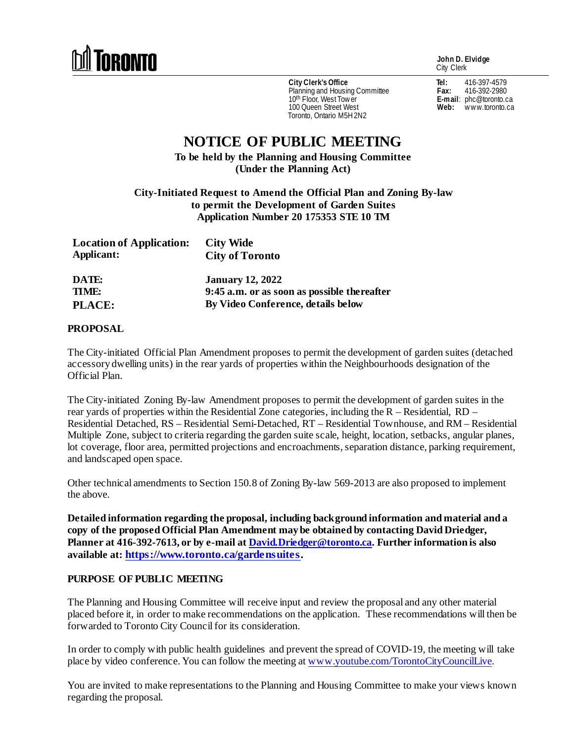

**John D. Elvidge** City Clerk

**City Clerk's Office** Planning and Housing Committee 10<sup>th</sup> Floor, West Tow er 100 Queen Street West Toronto, Ontario M5H 2N2

**Tel:** 416-397-4579 **Fax:** 416-392-2980 **E-mail**: phc@toronto.ca Web: www.toronto.ca

## **NOTICE OF PUBLIC MEETING**

**To be held by the Planning and Housing Committee (Under the Planning Act)**

**City-Initiated Request to Amend the Official Plan and Zoning By-law to permit the Development of Garden Suites Application Number 20 175353 STE 10 TM**

| <b>Location of Application:</b><br>Applicant: | <b>City Wide</b><br><b>City of Toronto</b>   |
|-----------------------------------------------|----------------------------------------------|
| DATE:                                         | <b>January 12, 2022</b>                      |
| TIME:                                         | 9:45 a.m. or as soon as possible the reafter |
| <b>PLACE:</b>                                 | By Video Conference, details below           |

## **PROPOSAL**

The City-initiated Official Plan Amendment proposes to permit the development of garden suites (detached accessory dwelling units) in the rear yards of properties within the Neighbourhoods designation of the Official Plan.

The City-initiated Zoning By-law Amendment proposes to permit the development of garden suites in the rear yards of properties within the Residential Zone categories, including the R – Residential, RD – Residential Detached, RS – Residential Semi-Detached, RT – Residential Townhouse, and RM – Residential Multiple Zone, subject to criteria regarding the garden suite scale, height, location, setbacks, angular planes, lot coverage, floor area, permitted projections and encroachments, separation distance, parking requirement, and landscaped open space.

Other technical amendments to Section 150.8 of Zoning By-law 569-2013 are also proposed to implement the above.

**Detailed information regarding the proposal, including background information and material and a copy of the proposed Official Plan Amendment may be obtained by contacting David Driedger, Planner at 416-392-7613, or by e-mail a[t David.Driedger@toronto.ca.](mailto:David.Driedger@toronto.ca) Further information is also available at[: https://www.toronto.ca/gardensuites.](https://www.toronto.ca/gardensuites)**

## **PURPOSE OF PUBLIC MEETING**

The Planning and Housing Committee will receive input and review the proposal and any other material placed before it, in order to make recommendations on the application. These recommendations will then be forwarded to Toronto City Council for its consideration.

In order to comply with public health guidelines and prevent the spread of COVID-19, the meeting will take place by video conference. You can follow the meeting at [www.youtube.com/TorontoCityCouncilLive.](http://www.youtube.com/TorontoCityCouncilLive)

You are invited to make representations to the Planning and Housing Committee to make your views known regarding the proposal.